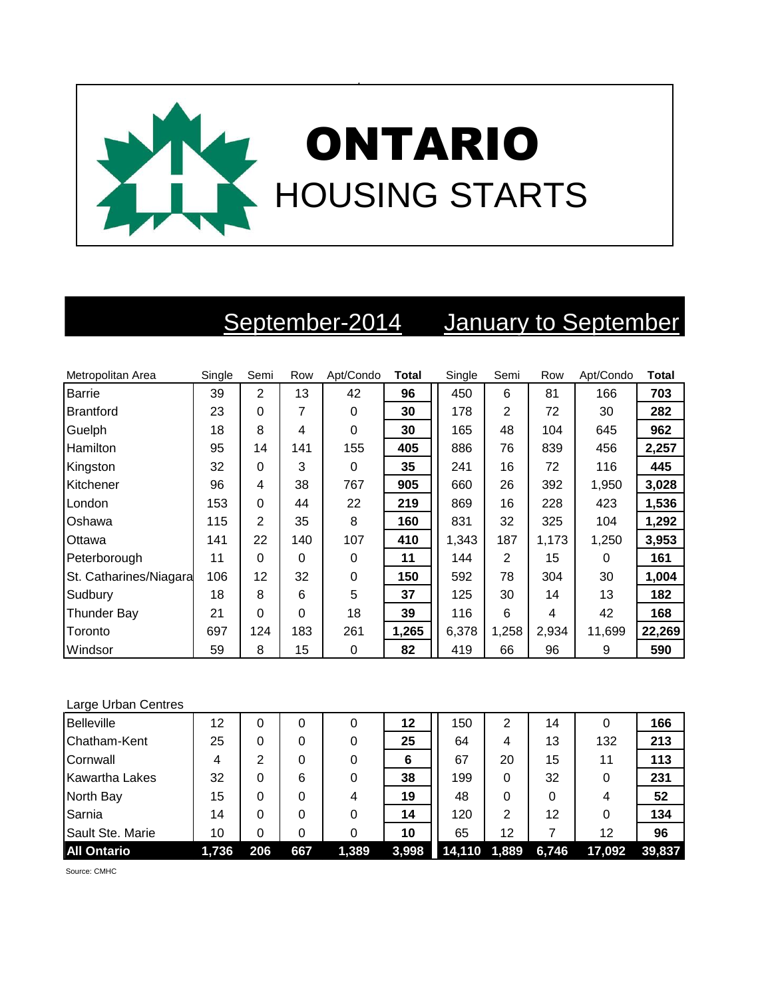

## September-2014 January to September

| Metropolitan Area      | Single | Semi     | Row      | Apt/Condo | <b>Total</b> | Single | Semi           | Row   | Apt/Condo | <b>Total</b> |
|------------------------|--------|----------|----------|-----------|--------------|--------|----------------|-------|-----------|--------------|
| <b>Barrie</b>          | 39     | 2        | 13       | 42        | 96           | 450    | 6              | 81    | 166       | 703          |
| <b>Brantford</b>       | 23     | $\Omega$ | 7        | 0         | 30           | 178    | $\overline{2}$ | 72    | 30        | 282          |
| Guelph                 | 18     | 8        | 4        | $\Omega$  | 30           | 165    | 48             | 104   | 645       | 962          |
| Hamilton               | 95     | 14       | 141      | 155       | 405          | 886    | 76             | 839   | 456       | 2,257        |
| Kingston               | 32     | $\Omega$ | 3        | $\Omega$  | 35           | 241    | 16             | 72    | 116       | 445          |
| Kitchener              | 96     | 4        | 38       | 767       | 905          | 660    | 26             | 392   | 1,950     | 3,028        |
| London                 | 153    | $\Omega$ | 44       | 22        | 219          | 869    | 16             | 228   | 423       | 1,536        |
| Oshawa                 | 115    | 2        | 35       | 8         | 160          | 831    | 32             | 325   | 104       | 1,292        |
| Ottawa                 | 141    | 22       | 140      | 107       | 410          | 1,343  | 187            | 1,173 | 1,250     | 3,953        |
| Peterborough           | 11     | $\Omega$ | $\Omega$ | $\Omega$  | 11           | 144    | 2              | 15    | 0         | 161          |
| St. Catharines/Niagara | 106    | 12       | 32       | 0         | 150          | 592    | 78             | 304   | 30        | 1,004        |
| Sudbury                | 18     | 8        | 6        | 5         | 37           | 125    | 30             | 14    | 13        | 182          |
| <b>Thunder Bay</b>     | 21     | $\Omega$ | 0        | 18        | 39           | 116    | 6              | 4     | 42        | 168          |
| Toronto                | 697    | 124      | 183      | 261       | 1,265        | 6,378  | 1,258          | 2,934 | 11,699    | 22,269       |
| Windsor                | 59     | 8        | 15       | 0         | 82           | 419    | 66             | 96    | 9         | 590          |

## Large Urban Centres

| Belleville            | 12    | 0   | 0   |       | 12    | 150              | 2  | 14    |        | 166    |
|-----------------------|-------|-----|-----|-------|-------|------------------|----|-------|--------|--------|
| Chatham-Kent          | 25    | 0   | 0   |       | 25    | 64               | 4  | 13    | 132    | 213    |
| Cornwall              | 4     | 2   | 0   |       | 6     | 67               | 20 | 15    | 11     | 113    |
| <b>Kawartha Lakes</b> | 32    | 0   | 6   |       | 38    | 199              | 0  | 32    |        | 231    |
| North Bay             | 15    | 0   | 0   | 4     | 19    | 48               | 0  | 0     | 4      | 52     |
| Sarnia                | 14    | 0   | 0   |       | 14    | 120              | 2  | 12    |        | 134    |
| Sault Ste. Marie      | 10    | 0   | 0   |       | 10    | 65               | 12 |       | 12     | 96     |
| <b>All Ontario</b>    | 1.736 | 206 | 667 | 1,389 | 3,998 | $14,110$ $1,889$ |    | 6,746 | 17,092 | 39.837 |

Source: CMHC